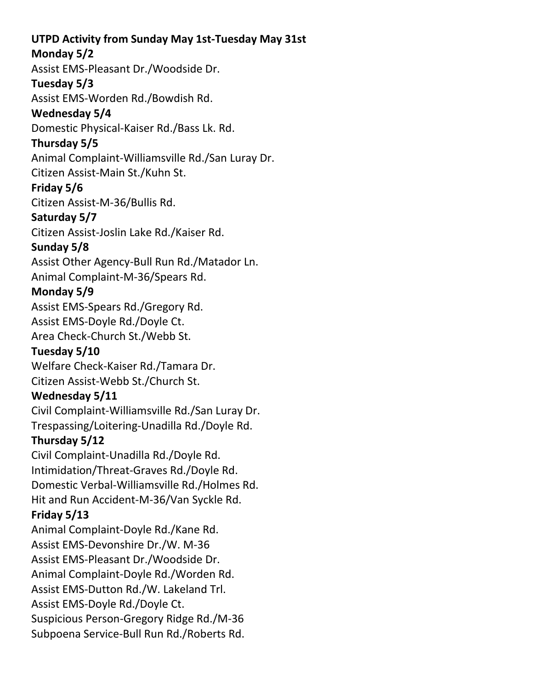#### **UTPD Activity from Sunday May 1st-Tuesday May 31st**

### **Monday 5/2**

Assist EMS-Pleasant Dr./Woodside Dr.

#### **Tuesday 5/3**

Assist EMS-Worden Rd./Bowdish Rd.

### **Wednesday 5/4**

Domestic Physical-Kaiser Rd./Bass Lk. Rd.

## **Thursday 5/5**

Animal Complaint-Williamsville Rd./San Luray Dr.

Citizen Assist-Main St./Kuhn St.

### **Friday 5/6**

Citizen Assist-M-36/Bullis Rd.

### **Saturday 5/7**

Citizen Assist-Joslin Lake Rd./Kaiser Rd.

# **Sunday 5/8**

Assist Other Agency-Bull Run Rd./Matador Ln. Animal Complaint-M-36/Spears Rd.

# **Monday 5/9**

Assist EMS-Spears Rd./Gregory Rd. Assist EMS-Doyle Rd./Doyle Ct.

Area Check-Church St./Webb St.

# **Tuesday 5/10**

Welfare Check-Kaiser Rd./Tamara Dr. Citizen Assist-Webb St./Church St.

### **Wednesday 5/11**

Civil Complaint-Williamsville Rd./San Luray Dr. Trespassing/Loitering-Unadilla Rd./Doyle Rd.

# **Thursday 5/12**

Civil Complaint-Unadilla Rd./Doyle Rd. Intimidation/Threat-Graves Rd./Doyle Rd. Domestic Verbal-Williamsville Rd./Holmes Rd. Hit and Run Accident-M-36/Van Syckle Rd.

### **Friday 5/13**

Animal Complaint-Doyle Rd./Kane Rd. Assist EMS-Devonshire Dr./W. M-36 Assist EMS-Pleasant Dr./Woodside Dr. Animal Complaint-Doyle Rd./Worden Rd. Assist EMS-Dutton Rd./W. Lakeland Trl. Assist EMS-Doyle Rd./Doyle Ct. Suspicious Person-Gregory Ridge Rd./M-36 Subpoena Service-Bull Run Rd./Roberts Rd.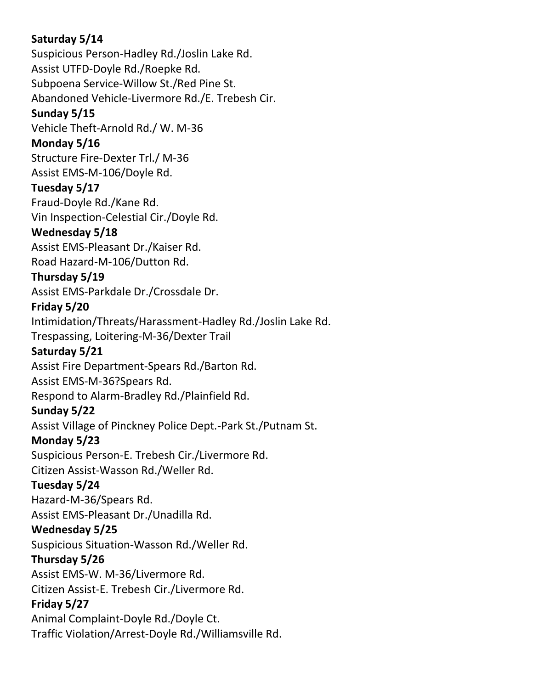### **Saturday 5/14**

Suspicious Person-Hadley Rd./Joslin Lake Rd. Assist UTFD-Doyle Rd./Roepke Rd. Subpoena Service-Willow St./Red Pine St.

Abandoned Vehicle-Livermore Rd./E. Trebesh Cir.

#### **Sunday 5/15**

Vehicle Theft-Arnold Rd./ W. M-36

#### **Monday 5/16**

Structure Fire-Dexter Trl./ M-36 Assist EMS-M-106/Doyle Rd.

#### **Tuesday 5/17**

Fraud-Doyle Rd./Kane Rd. Vin Inspection-Celestial Cir./Doyle Rd.

#### **Wednesday 5/18**

Assist EMS-Pleasant Dr./Kaiser Rd.

Road Hazard-M-106/Dutton Rd.

#### **Thursday 5/19**

Assist EMS-Parkdale Dr./Crossdale Dr.

#### **Friday 5/20**

Intimidation/Threats/Harassment-Hadley Rd./Joslin Lake Rd.

Trespassing, Loitering-M-36/Dexter Trail

### **Saturday 5/21**

Assist Fire Department-Spears Rd./Barton Rd.

Assist EMS-M-36?Spears Rd.

Respond to Alarm-Bradley Rd./Plainfield Rd.

### **Sunday 5/22**

Assist Village of Pinckney Police Dept.-Park St./Putnam St.

### **Monday 5/23**

Suspicious Person-E. Trebesh Cir./Livermore Rd.

Citizen Assist-Wasson Rd./Weller Rd.

### **Tuesday 5/24**

Hazard-M-36/Spears Rd. Assist EMS-Pleasant Dr./Unadilla Rd.

### **Wednesday 5/25**

Suspicious Situation-Wasson Rd./Weller Rd.

### **Thursday 5/26**

Assist EMS-W. M-36/Livermore Rd.

Citizen Assist-E. Trebesh Cir./Livermore Rd.

### **Friday 5/27**

Animal Complaint-Doyle Rd./Doyle Ct. Traffic Violation/Arrest-Doyle Rd./Williamsville Rd.